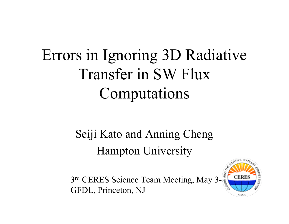# Errors in Ignoring 3D Radiative Transfer in SW Flux Computations

Seiji Kato and Anning Cheng Hampton University

3rd CERES Science Team Meeting, May 3-GFDL, Princeton, NJ

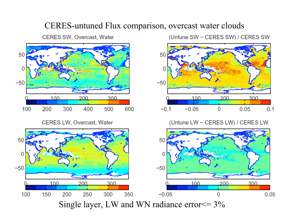#### CERES-untuned Flux comparison, overcast water clouds

CERES SW, Overcast, Water



CERES LW, Overcast, Water

(Untune SW - CERES SW) / CERES SW



(Untune LW - CERES LW) / CERES LW

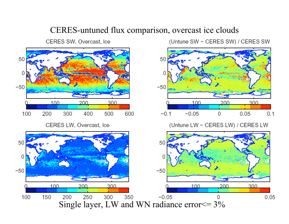### CERES-untuned flux comparison, overcast ice clouds

CERES SW, Overcast, Ice



(Untune SW - CERES SW) / CERES SW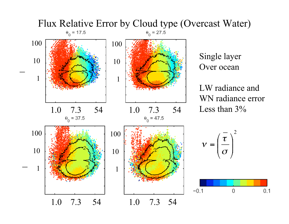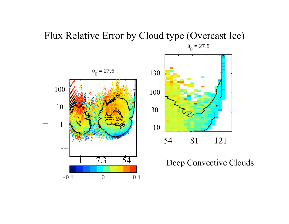### Flux Relative Error by Cloud type (Overcast Ice)  $\theta_0 = 27.5$





### Deep Convective Clouds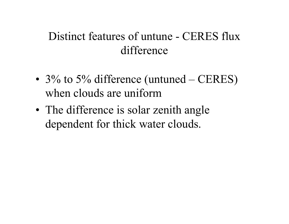## Distinct features of untune - CERES flux difference

- 3% to 5% difference (untuned  $-$  CERES) when clouds are uniform
- The difference is solar zenith angle dependent for thick water clouds.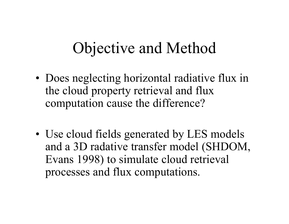## Objective and Method

- Does neglecting horizontal radiative flux in the cloud property retrieval and flux computation cause the difference?
- Use cloud fields generated by LES models and a 3D radative transfer model (SHDOM, Evans 1998) to simulate cloud retrieval processes and flux computations.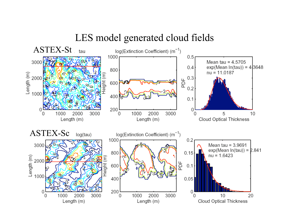### LES model generated cloud fields

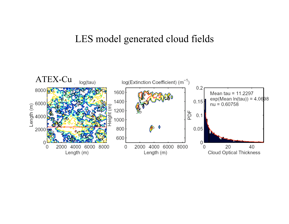### LES model generated cloud fields

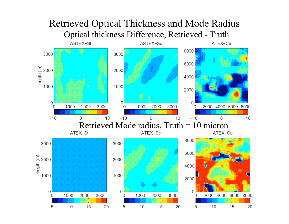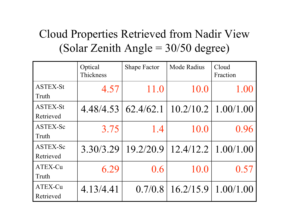## Cloud Properties Retrieved from Nadir View (Solar Zenith Angle  $=$  30/50 degree)

|                              | Optical<br>Thickness  | <b>Shape Factor</b> | <b>Mode Radius</b> | Cloud<br>Fraction |
|------------------------------|-----------------------|---------------------|--------------------|-------------------|
| <b>ASTEX-St</b><br>Truth     | 4.57                  | 11.0                | 10.0               | 1.00              |
| <b>ASTEX-St</b><br>Retrieved | $4.48/4.53$ 62.4/62.1 |                     | 10.2/10.2          | 1.00/1.00         |
| ASTEX-Sc<br>Truth            | 3.75                  | 1.4                 | 10.0               | 0.96              |
| ASTEX-Sc<br>Retrieved        | 3.30/3.29             | 19.2/20.9           | 12.4/12.2          | 1.00/1.00         |
| ATEX-Cu<br>Truth             | 6.29                  | 0.6                 | 10.0               | 0.57              |
| ATEX-Cu<br>Retrieved         | 4.13/4.41             | 0.7/0.8             | 16.2/15.9          | 1.00/1.00         |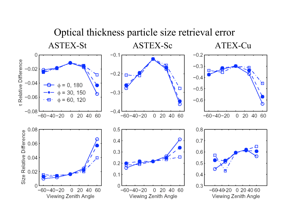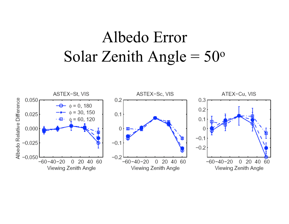## Albedo Error Solar Zenith Angle  $= 50^{\circ}$

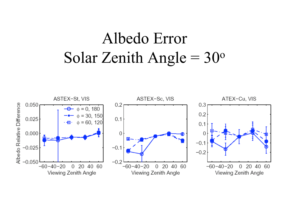## Albedo Error Solar Zenith Angle =  $30^{\circ}$

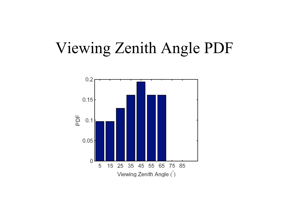## Viewing Zenith Angle PDF

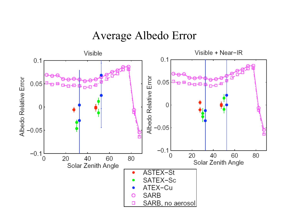### Average Albedo Error

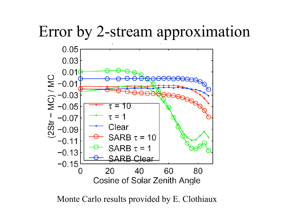## Error by 2-stream approximation



Monte Carlo results provided by E. Clothiaux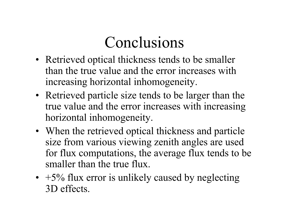# Conclusions

- Retrieved optical thickness tends to be smaller than the true value and the error increases with increasing horizontal inhomogeneity.
- Retrieved particle size tends to be larger than the true value and the error increases with increasing horizontal inhomogeneity.
- When the retrieved optical thickness and particle size from various viewing zenith angles are used for flux computations, the average flux tends to be smaller than the true flux.
- $\cdot$  +5% flux error is unlikely caused by neglecting 3D effects.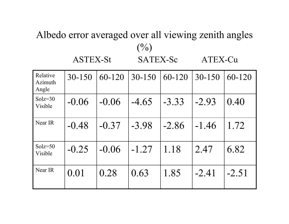### Albedo error averaged over all viewing zenith angles  $($ %) ASTEX-St SATEX-Sc ATEX-Cu

| Relative<br>Azimuth<br>Angle | $30 - 150$ | 60-120  | $30 - 150$ | 60-120  | $30 - 150$ | 60-120  |
|------------------------------|------------|---------|------------|---------|------------|---------|
| $Solz=30$<br>Visible         | $-0.06$    | $-0.06$ | $-4.65$    | $-3.33$ | $-2.93$    | 0.40    |
| Near IR                      | $-0.48$    | $-0.37$ | $-3.98$    | $-2.86$ | $-1.46$    | 1.72    |
| $Solz = 50$<br>Visible       | $-0.25$    | $-0.06$ | $-1.27$    | 1.18    | 2.47       | 6.82    |
| Near IR                      | 0.01       | 0.28    | 0.63       | 1.85    | $-2.41$    | $-2.51$ |